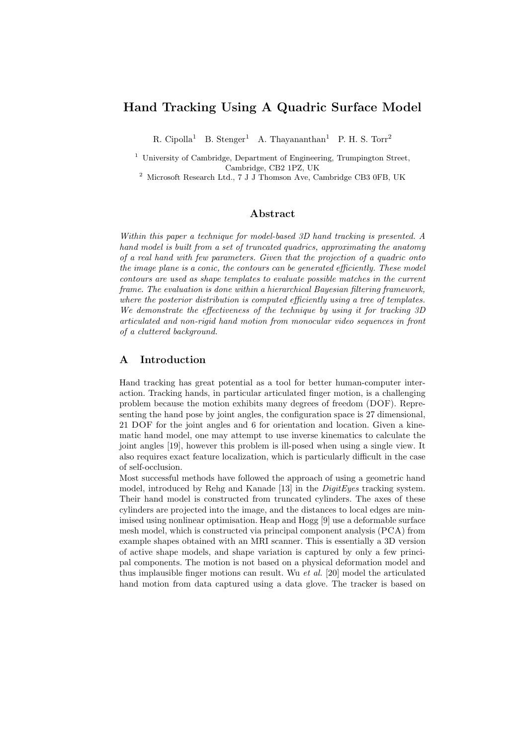# Hand Tracking Using A Quadric Surface Model

R. Cipolla<sup>1</sup> B. Stenger<sup>1</sup> A. Thayananthan<sup>1</sup> P. H. S. Torr<sup>2</sup>

<sup>1</sup> University of Cambridge, Department of Engineering, Trumpington Street, Cambridge, CB2 1PZ, UK

<sup>2</sup> Microsoft Research Ltd., 7 J J Thomson Ave, Cambridge CB3 0FB, UK

## Abstract

Within this paper a technique for model-based 3D hand tracking is presented. A hand model is built from a set of truncated quadrics, approximating the anatomy of a real hand with few parameters. Given that the projection of a quadric onto the image plane is a conic, the contours can be generated efficiently. These model contours are used as shape templates to evaluate possible matches in the current frame. The evaluation is done within a hierarchical Bayesian filtering framework, where the posterior distribution is computed efficiently using a tree of templates. We demonstrate the effectiveness of the technique by using it for tracking 3D articulated and non-rigid hand motion from monocular video sequences in front of a cluttered background.

## A Introduction

Hand tracking has great potential as a tool for better human-computer interaction. Tracking hands, in particular articulated finger motion, is a challenging problem because the motion exhibits many degrees of freedom (DOF). Representing the hand pose by joint angles, the configuration space is 27 dimensional, 21 DOF for the joint angles and 6 for orientation and location. Given a kinematic hand model, one may attempt to use inverse kinematics to calculate the joint angles [19], however this problem is ill-posed when using a single view. It also requires exact feature localization, which is particularly difficult in the case of self-occlusion.

Most successful methods have followed the approach of using a geometric hand model, introduced by Rehg and Kanade [13] in the *DigitEyes* tracking system. Their hand model is constructed from truncated cylinders. The axes of these cylinders are projected into the image, and the distances to local edges are minimised using nonlinear optimisation. Heap and Hogg [9] use a deformable surface mesh model, which is constructed via principal component analysis (PCA) from example shapes obtained with an MRI scanner. This is essentially a 3D version of active shape models, and shape variation is captured by only a few principal components. The motion is not based on a physical deformation model and thus implausible finger motions can result. Wu et al. [20] model the articulated hand motion from data captured using a data glove. The tracker is based on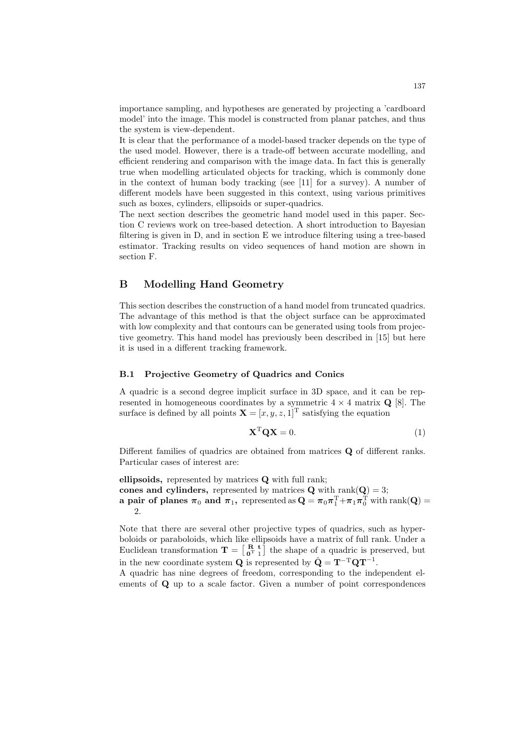importance sampling, and hypotheses are generated by projecting a 'cardboard model' into the image. This model is constructed from planar patches, and thus the system is view-dependent.

It is clear that the performance of a model-based tracker depends on the type of the used model. However, there is a trade-off between accurate modelling, and efficient rendering and comparison with the image data. In fact this is generally true when modelling articulated objects for tracking, which is commonly done in the context of human body tracking (see [11] for a survey). A number of different models have been suggested in this context, using various primitives such as boxes, cylinders, ellipsoids or super-quadrics.

The next section describes the geometric hand model used in this paper. Section C reviews work on tree-based detection. A short introduction to Bayesian filtering is given in D, and in section E we introduce filtering using a tree-based estimator. Tracking results on video sequences of hand motion are shown in section F.

## B Modelling Hand Geometry

This section describes the construction of a hand model from truncated quadrics. The advantage of this method is that the object surface can be approximated with low complexity and that contours can be generated using tools from projective geometry. This hand model has previously been described in [15] but here it is used in a different tracking framework.

#### B.1 Projective Geometry of Quadrics and Conics

A quadric is a second degree implicit surface in 3D space, and it can be represented in homogeneous coordinates by a symmetric  $4 \times 4$  matrix **Q** [8]. The surface is defined by all points  $\mathbf{X} = [x, y, z, 1]^T$  satisfying the equation

$$
\mathbf{X}^{\mathrm{T}} \mathbf{Q} \mathbf{X} = 0. \tag{1}
$$

Different families of quadrics are obtained from matrices Q of different ranks. Particular cases of interest are:

ellipsoids, represented by matrices Q with full rank; cones and cylinders, represented by matrices  $Q$  with rank $(Q) = 3$ ; a pair of planes  $\pi_0$  and  $\pi_1$ , represented as  $\mathbf{Q} = \pi_0 \pi_1^{\mathrm{T}} + \pi_1 \pi_0^{\mathrm{T}}$  with  $\mathrm{rank}(\mathbf{Q}) =$ 2.

Note that there are several other projective types of quadrics, such as hyperboloids or paraboloids, which like ellipsoids have a matrix of full rank. Under a Euclidean transformation  $\mathbf{T} = \begin{bmatrix} \mathbf{R} & \mathbf{t} \\ \mathbf{0}^T & 1 \end{bmatrix}$  the shape of a quadric is preserved, but in the new coordinate system **Q** is represented by  $\hat{Q} = T^{-T}QT^{-1}$ .

A quadric has nine degrees of freedom, corresponding to the independent elements of Q up to a scale factor. Given a number of point correspondences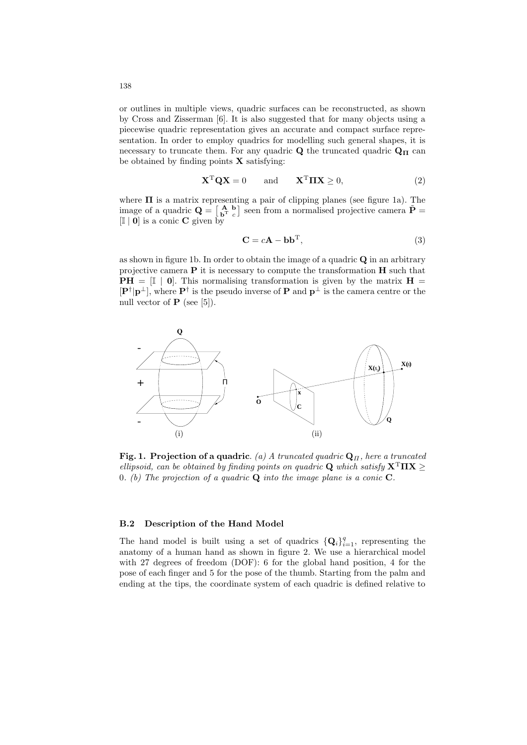or outlines in multiple views, quadric surfaces can be reconstructed, as shown by Cross and Zisserman [6]. It is also suggested that for many objects using a piecewise quadric representation gives an accurate and compact surface representation. In order to employ quadrics for modelling such general shapes, it is necessary to truncate them. For any quadric  $\mathbf{Q}$  the truncated quadric  $\mathbf{Q}_{\Pi}$  can be obtained by finding points  $X$  satisfying:

$$
\mathbf{X}^{\mathrm{T}} \mathbf{Q} \mathbf{X} = 0 \quad \text{and} \quad \mathbf{X}^{\mathrm{T}} \mathbf{\Pi} \mathbf{X} \ge 0,
$$
 (2)

where  $\Pi$  is a matrix representing a pair of clipping planes (see figure 1a). The image of a quadric  $\mathbf{Q} = \begin{bmatrix} \mathbf{A} & \mathbf{b} \\ \mathbf{b}^{\mathrm{T}} & c \end{bmatrix}$  seen from a normalised projective camera  $\tilde{\mathbf{P}} =$  $[\mathbb{I} \mid \mathbf{0}]$  is a conic **C** given by

$$
\mathbf{C} = c\mathbf{A} - \mathbf{b}\mathbf{b}^{\mathrm{T}},\tag{3}
$$

as shown in figure 1b. In order to obtain the image of a quadric Q in an arbitrary projective camera  $P$  it is necessary to compute the transformation  $H$  such that  $PH = [\mathbb{I} \mid 0]$ . This normalising transformation is given by the matrix  $H =$  $[\mathbf{P}^{\dagger}|\mathbf{p}^{\perp}]$ , where  $\mathbf{P}^{\dagger}$  is the pseudo inverse of  $\mathbf{P}$  and  $\mathbf{p}^{\perp}$  is the camera centre or the null vector of  $P$  (see [5]).



Fig. 1. Projection of a quadric. (a) A truncated quadric  $\mathbf{Q}_{\Pi}$ , here a truncated ellipsoid, can be obtained by finding points on quadric **Q** which satisfy  $X<sup>T</sup> \Pi X \ge$ 0. (b) The projection of a quadric  $Q$  into the image plane is a conic  $C$ .

### B.2 Description of the Hand Model

The hand model is built using a set of quadrics  $\{Q_i\}_{i=1}^q$ , representing the anatomy of a human hand as shown in figure 2. We use a hierarchical model with 27 degrees of freedom (DOF): 6 for the global hand position, 4 for the pose of each finger and 5 for the pose of the thumb. Starting from the palm and ending at the tips, the coordinate system of each quadric is defined relative to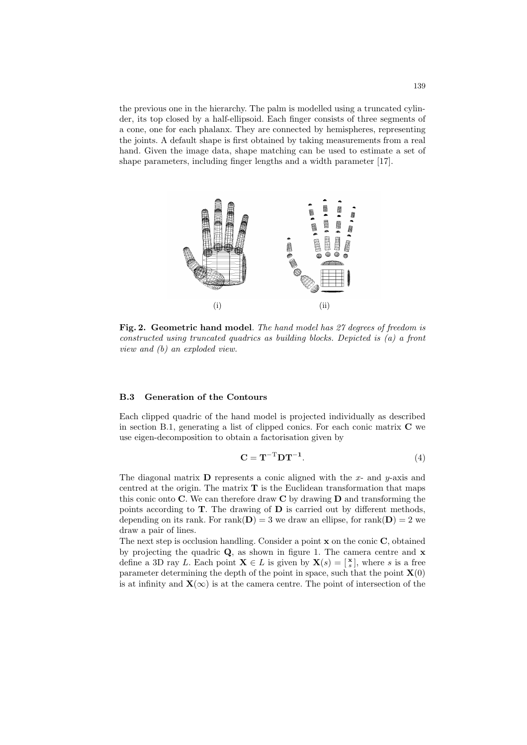the previous one in the hierarchy. The palm is modelled using a truncated cylinder, its top closed by a half-ellipsoid. Each finger consists of three segments of a cone, one for each phalanx. They are connected by hemispheres, representing the joints. A default shape is first obtained by taking measurements from a real hand. Given the image data, shape matching can be used to estimate a set of shape parameters, including finger lengths and a width parameter [17].



Fig. 2. Geometric hand model. The hand model has 27 degrees of freedom is constructed using truncated quadrics as building blocks. Depicted is (a) a front view and (b) an exploded view.

### B.3 Generation of the Contours

Each clipped quadric of the hand model is projected individually as described in section B.1, generating a list of clipped conics. For each conic matrix  $C$  we use eigen-decomposition to obtain a factorisation given by

$$
\mathbf{C} = \mathbf{T}^{-T} \mathbf{D} \mathbf{T}^{-1}.
$$
 (4)

The diagonal matrix **D** represents a conic aligned with the  $x$ - and  $y$ -axis and centred at the origin. The matrix  $T$  is the Euclidean transformation that maps this conic onto  $C$ . We can therefore draw  $C$  by drawing  $D$  and transforming the points according to  $T$ . The drawing of  $D$  is carried out by different methods, depending on its rank. For rank( $\bf{D}$ ) = 3 we draw an ellipse, for rank( $\bf{D}$ ) = 2 we draw a pair of lines.

The next step is occlusion handling. Consider a point  $x$  on the conic  $C$ , obtained by projecting the quadric Q, as shown in figure 1. The camera centre and x define a 3D ray L. Each point  $\mathbf{X} \in L$  is given by  $\mathbf{X}(s) = \begin{bmatrix} \mathbf{x} \end{bmatrix}$ , where s is a free parameter determining the depth of the point in space, such that the point  $\mathbf{X}(0)$ is at infinity and  $\mathbf{X}(\infty)$  is at the camera centre. The point of intersection of the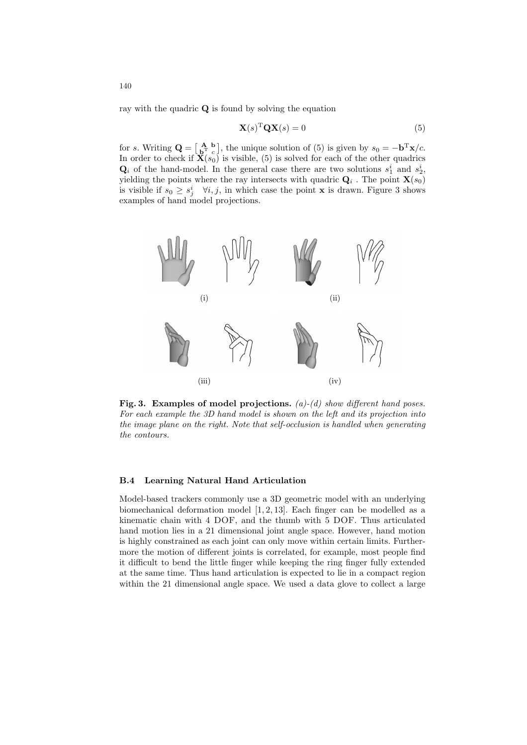ray with the quadric Q is found by solving the equation

$$
\mathbf{X}(s)^{\mathrm{T}} \mathbf{Q} \mathbf{X}(s) = 0 \tag{5}
$$

for s. Writing  $\mathbf{Q} = \begin{bmatrix} \mathbf{A} & \mathbf{b} \\ \mathbf{b}^{\mathrm{T}} & c \end{bmatrix}$ , the unique solution of (5) is given by  $s_0 = -\mathbf{b}^{\mathrm{T}}\mathbf{x}/c$ . In order to check if  $\mathbf{X}(s_0)$  is visible, (5) is solved for each of the other quadrics  $\mathbf{Q}_i$  of the hand-model. In the general case there are two solutions  $s_1^i$  and  $s_2^i$ , yielding the points where the ray intersects with quadric  $\mathbf{Q}_i$ . The point  $\mathbf{X}(s_0)$ is visible if  $s_0 \geq s_j^i$   $\forall i, j$ , in which case the point **x** is drawn. Figure 3 shows examples of hand model projections.



Fig. 3. Examples of model projections.  $(a)-(d)$  show different hand poses. For each example the 3D hand model is shown on the left and its projection into the image plane on the right. Note that self-occlusion is handled when generating the contours.

#### B.4 Learning Natural Hand Articulation

Model-based trackers commonly use a 3D geometric model with an underlying biomechanical deformation model [1, 2, 13]. Each finger can be modelled as a kinematic chain with 4 DOF, and the thumb with 5 DOF. Thus articulated hand motion lies in a 21 dimensional joint angle space. However, hand motion is highly constrained as each joint can only move within certain limits. Furthermore the motion of different joints is correlated, for example, most people find it difficult to bend the little finger while keeping the ring finger fully extended at the same time. Thus hand articulation is expected to lie in a compact region within the 21 dimensional angle space. We used a data glove to collect a large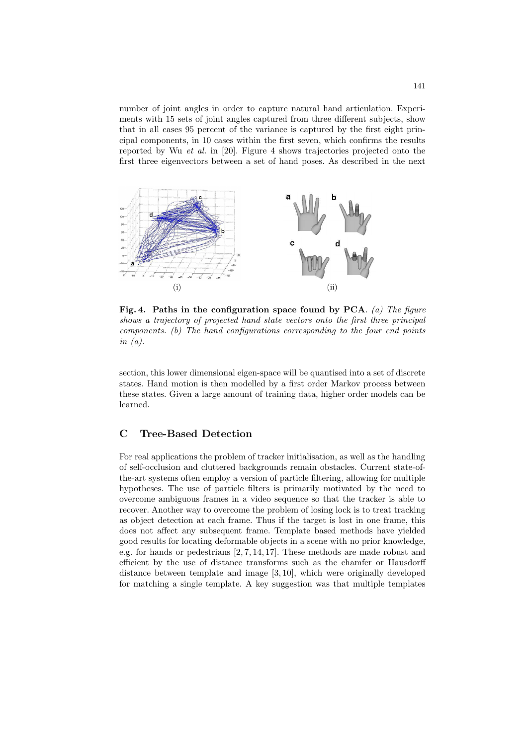number of joint angles in order to capture natural hand articulation. Experiments with 15 sets of joint angles captured from three different subjects, show that in all cases 95 percent of the variance is captured by the first eight principal components, in 10 cases within the first seven, which confirms the results reported by Wu et al. in [20]. Figure 4 shows trajectories projected onto the first three eigenvectors between a set of hand poses. As described in the next



Fig. 4. Paths in the configuration space found by PCA. (a) The figure shows a trajectory of projected hand state vectors onto the first three principal components. (b) The hand configurations corresponding to the four end points in  $(a)$ .

section, this lower dimensional eigen-space will be quantised into a set of discrete states. Hand motion is then modelled by a first order Markov process between these states. Given a large amount of training data, higher order models can be learned.

## C Tree-Based Detection

For real applications the problem of tracker initialisation, as well as the handling of self-occlusion and cluttered backgrounds remain obstacles. Current state-ofthe-art systems often employ a version of particle filtering, allowing for multiple hypotheses. The use of particle filters is primarily motivated by the need to overcome ambiguous frames in a video sequence so that the tracker is able to recover. Another way to overcome the problem of losing lock is to treat tracking as object detection at each frame. Thus if the target is lost in one frame, this does not affect any subsequent frame. Template based methods have yielded good results for locating deformable objects in a scene with no prior knowledge, e.g. for hands or pedestrians [2, 7, 14, 17]. These methods are made robust and efficient by the use of distance transforms such as the chamfer or Hausdorff distance between template and image [3, 10], which were originally developed for matching a single template. A key suggestion was that multiple templates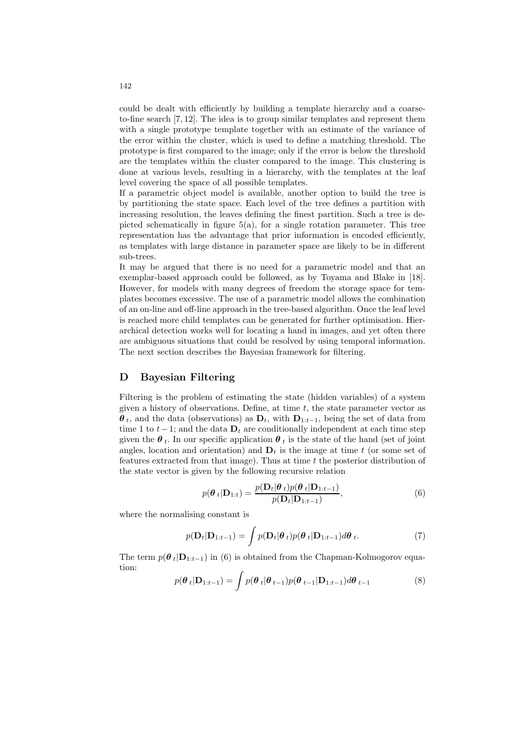could be dealt with efficiently by building a template hierarchy and a coarseto-fine search [7, 12]. The idea is to group similar templates and represent them with a single prototype template together with an estimate of the variance of the error within the cluster, which is used to define a matching threshold. The prototype is first compared to the image; only if the error is below the threshold are the templates within the cluster compared to the image. This clustering is done at various levels, resulting in a hierarchy, with the templates at the leaf level covering the space of all possible templates.

If a parametric object model is available, another option to build the tree is by partitioning the state space. Each level of the tree defines a partition with increasing resolution, the leaves defining the finest partition. Such a tree is depicted schematically in figure  $5(a)$ , for a single rotation parameter. This tree representation has the advantage that prior information is encoded efficiently, as templates with large distance in parameter space are likely to be in different sub-trees.

It may be argued that there is no need for a parametric model and that an exemplar-based approach could be followed, as by Toyama and Blake in [18]. However, for models with many degrees of freedom the storage space for templates becomes excessive. The use of a parametric model allows the combination of an on-line and off-line approach in the tree-based algorithm. Once the leaf level is reached more child templates can be generated for further optimisation. Hierarchical detection works well for locating a hand in images, and yet often there are ambiguous situations that could be resolved by using temporal information. The next section describes the Bayesian framework for filtering.

### D Bayesian Filtering

Filtering is the problem of estimating the state (hidden variables) of a system given a history of observations. Define, at time  $t$ , the state parameter vector as  $\theta_t$ , and the data (observations) as  $\mathbf{D}_t$ , with  $\mathbf{D}_{1:t-1}$ , being the set of data from time 1 to  $t-1$ ; and the data  $D_t$  are conditionally independent at each time step given the  $\theta_t$ . In our specific application  $\theta_t$  is the state of the hand (set of joint angles, location and orientation) and  $D_t$  is the image at time t (or some set of features extracted from that image). Thus at time t the posterior distribution of the state vector is given by the following recursive relation

$$
p(\boldsymbol{\theta}_{t}|\mathbf{D}_{1:t}) = \frac{p(\mathbf{D}_{t}|\boldsymbol{\theta}_{t})p(\boldsymbol{\theta}_{t}|\mathbf{D}_{1:t-1})}{p(\mathbf{D}_{t}|\mathbf{D}_{1:t-1})},
$$
\n(6)

where the normalising constant is

$$
p(\mathbf{D}_t|\mathbf{D}_{1:t-1}) = \int p(\mathbf{D}_t|\boldsymbol{\theta}_t) p(\boldsymbol{\theta}_t|\mathbf{D}_{1:t-1}) d\boldsymbol{\theta}_t.
$$
 (7)

The term  $p(\theta_t|\mathbf{D}_{1:t-1})$  in (6) is obtained from the Chapman-Kolmogorov equation:

$$
p(\boldsymbol{\theta}_{t}|\mathbf{D}_{1:t-1}) = \int p(\boldsymbol{\theta}_{t}|\boldsymbol{\theta}_{t-1})p(\boldsymbol{\theta}_{t-1}|\mathbf{D}_{1:t-1})d\boldsymbol{\theta}_{t-1}
$$
\n(8)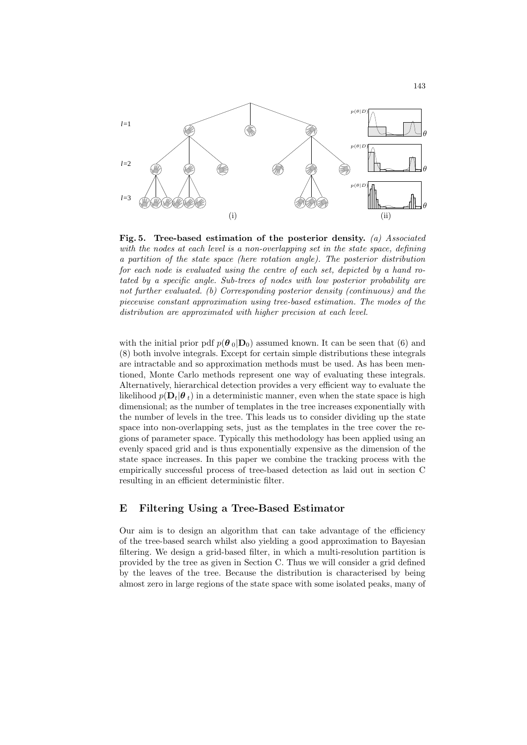

Fig. 5. Tree-based estimation of the posterior density. (a) Associated with the nodes at each level is a non-overlapping set in the state space, defining a partition of the state space (here rotation angle). The posterior distribution for each node is evaluated using the centre of each set, depicted by a hand rotated by a specific angle. Sub-trees of nodes with low posterior probability are not further evaluated. (b) Corresponding posterior density (continuous) and the piecewise constant approximation using tree-based estimation. The modes of the distribution are approximated with higher precision at each level.

with the initial prior pdf  $p(\theta_0|\mathbf{D}_0)$  assumed known. It can be seen that (6) and (8) both involve integrals. Except for certain simple distributions these integrals are intractable and so approximation methods must be used. As has been mentioned, Monte Carlo methods represent one way of evaluating these integrals. Alternatively, hierarchical detection provides a very efficient way to evaluate the likelihood  $p(\mathbf{D}_t|\boldsymbol{\theta}_t)$  in a deterministic manner, even when the state space is high dimensional; as the number of templates in the tree increases exponentially with the number of levels in the tree. This leads us to consider dividing up the state space into non-overlapping sets, just as the templates in the tree cover the regions of parameter space. Typically this methodology has been applied using an evenly spaced grid and is thus exponentially expensive as the dimension of the state space increases. In this paper we combine the tracking process with the empirically successful process of tree-based detection as laid out in section C resulting in an efficient deterministic filter.

### E Filtering Using a Tree-Based Estimator

Our aim is to design an algorithm that can take advantage of the efficiency of the tree-based search whilst also yielding a good approximation to Bayesian filtering. We design a grid-based filter, in which a multi-resolution partition is provided by the tree as given in Section C. Thus we will consider a grid defined by the leaves of the tree. Because the distribution is characterised by being almost zero in large regions of the state space with some isolated peaks, many of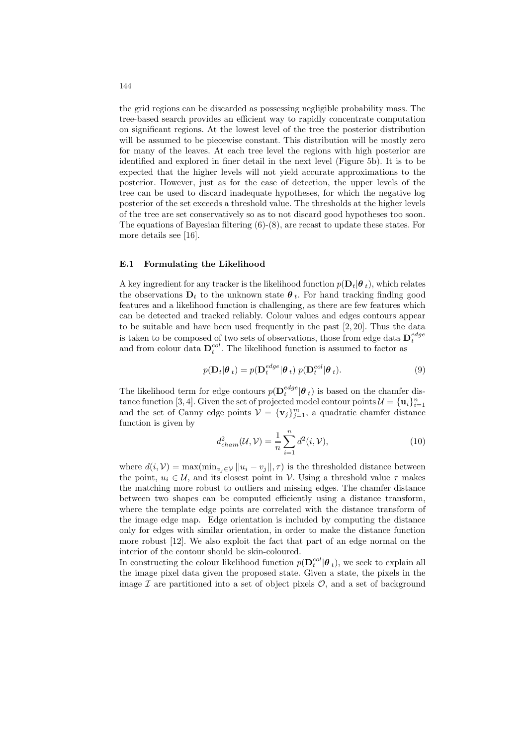the grid regions can be discarded as possessing negligible probability mass. The tree-based search provides an efficient way to rapidly concentrate computation on significant regions. At the lowest level of the tree the posterior distribution will be assumed to be piecewise constant. This distribution will be mostly zero for many of the leaves. At each tree level the regions with high posterior are identified and explored in finer detail in the next level (Figure 5b). It is to be expected that the higher levels will not yield accurate approximations to the posterior. However, just as for the case of detection, the upper levels of the tree can be used to discard inadequate hypotheses, for which the negative log posterior of the set exceeds a threshold value. The thresholds at the higher levels of the tree are set conservatively so as to not discard good hypotheses too soon. The equations of Bayesian filtering (6)-(8), are recast to update these states. For more details see [16].

### E.1 Formulating the Likelihood

A key ingredient for any tracker is the likelihood function  $p(\mathbf{D}_t|\boldsymbol{\theta}_t)$ , which relates the observations  $D_t$  to the unknown state  $\theta_t$ . For hand tracking finding good features and a likelihood function is challenging, as there are few features which can be detected and tracked reliably. Colour values and edges contours appear to be suitable and have been used frequently in the past [2, 20]. Thus the data is taken to be composed of two sets of observations, those from edge data  $\mathbf{D}_t^{edge}$ and from colour data  $\mathbf{D}_t^{col}$ . The likelihood function is assumed to factor as

$$
p(\mathbf{D}_t|\boldsymbol{\theta}_t) = p(\mathbf{D}_t^{edge}|\boldsymbol{\theta}_t) p(\mathbf{D}_t^{col}|\boldsymbol{\theta}_t).
$$
\n(9)

The likelihood term for edge contours  $p(\mathbf{D}_t^{edge}|\boldsymbol{\theta}_t)$  is based on the chamfer distance function [3, 4]. Given the set of projected model contour points  $\mathcal{U} = {\mathbf{u}_i}_{i=1}^n$ and the set of Canny edge points  $V = \{v_j\}_{j=1}^m$ , a quadratic chamfer distance function is given by

$$
d_{cham}^2(\mathcal{U}, \mathcal{V}) = \frac{1}{n} \sum_{i=1}^n d^2(i, \mathcal{V}),
$$
\n(10)

where  $d(i, V) = \max(\min_{v_i \in V} ||u_i - v_j||, \tau)$  is the thresholded distance between the point,  $u_i \in \mathcal{U}$ , and its closest point in V. Using a threshold value  $\tau$  makes the matching more robust to outliers and missing edges. The chamfer distance between two shapes can be computed efficiently using a distance transform, where the template edge points are correlated with the distance transform of the image edge map. Edge orientation is included by computing the distance only for edges with similar orientation, in order to make the distance function more robust [12]. We also exploit the fact that part of an edge normal on the interior of the contour should be skin-coloured.

In constructing the colour likelihood function  $p(\mathbf{D}_t^{col}|\boldsymbol{\theta}_t)$ , we seek to explain all the image pixel data given the proposed state. Given a state, the pixels in the image  $\mathcal I$  are partitioned into a set of object pixels  $\mathcal O$ , and a set of background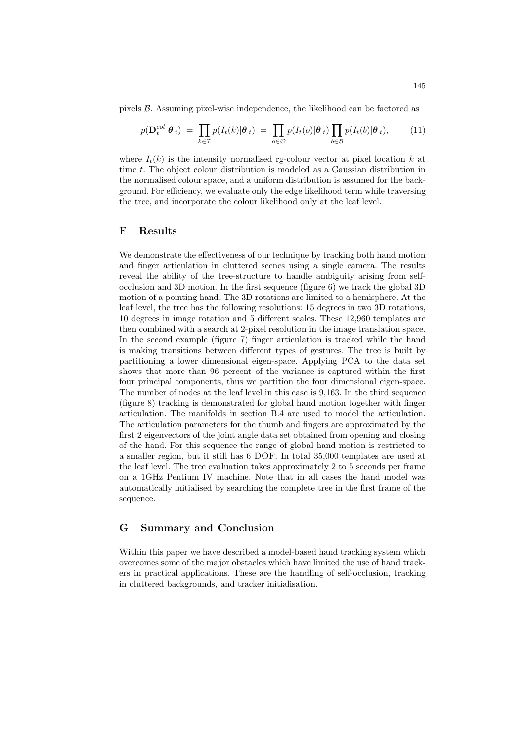pixels B. Assuming pixel-wise independence, the likelihood can be factored as

$$
p(\mathbf{D}_{t}^{col}|\boldsymbol{\theta}_{t}) = \prod_{k \in \mathcal{I}} p(I_{t}(k)|\boldsymbol{\theta}_{t}) = \prod_{o \in \mathcal{O}} p(I_{t}(o)|\boldsymbol{\theta}_{t}) \prod_{b \in \mathcal{B}} p(I_{t}(b)|\boldsymbol{\theta}_{t}), \qquad (11)
$$

where  $I_t(k)$  is the intensity normalised rg-colour vector at pixel location k at time t. The object colour distribution is modeled as a Gaussian distribution in the normalised colour space, and a uniform distribution is assumed for the background. For efficiency, we evaluate only the edge likelihood term while traversing the tree, and incorporate the colour likelihood only at the leaf level.

## F Results

We demonstrate the effectiveness of our technique by tracking both hand motion and finger articulation in cluttered scenes using a single camera. The results reveal the ability of the tree-structure to handle ambiguity arising from selfocclusion and 3D motion. In the first sequence (figure 6) we track the global 3D motion of a pointing hand. The 3D rotations are limited to a hemisphere. At the leaf level, the tree has the following resolutions: 15 degrees in two 3D rotations, 10 degrees in image rotation and 5 different scales. These 12,960 templates are then combined with a search at 2-pixel resolution in the image translation space. In the second example (figure 7) finger articulation is tracked while the hand is making transitions between different types of gestures. The tree is built by partitioning a lower dimensional eigen-space. Applying PCA to the data set shows that more than 96 percent of the variance is captured within the first four principal components, thus we partition the four dimensional eigen-space. The number of nodes at the leaf level in this case is 9,163. In the third sequence (figure 8) tracking is demonstrated for global hand motion together with finger articulation. The manifolds in section B.4 are used to model the articulation. The articulation parameters for the thumb and fingers are approximated by the first 2 eigenvectors of the joint angle data set obtained from opening and closing of the hand. For this sequence the range of global hand motion is restricted to a smaller region, but it still has 6 DOF. In total 35,000 templates are used at the leaf level. The tree evaluation takes approximately 2 to 5 seconds per frame on a 1GHz Pentium IV machine. Note that in all cases the hand model was automatically initialised by searching the complete tree in the first frame of the sequence.

### G Summary and Conclusion

Within this paper we have described a model-based hand tracking system which overcomes some of the major obstacles which have limited the use of hand trackers in practical applications. These are the handling of self-occlusion, tracking in cluttered backgrounds, and tracker initialisation.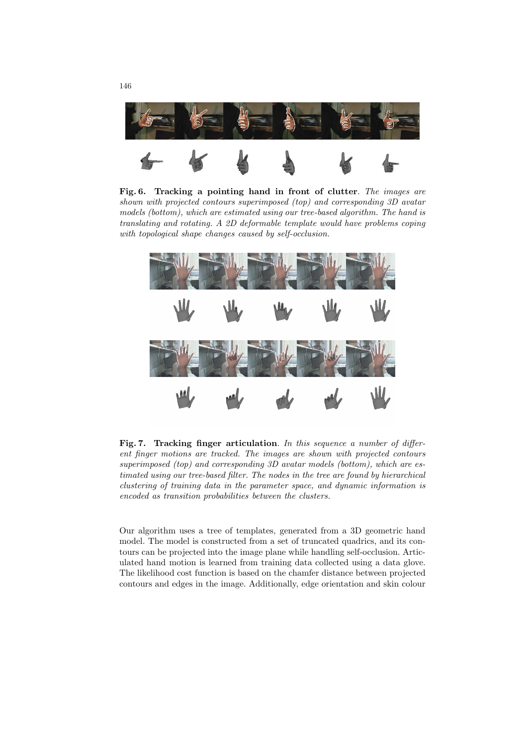

Fig. 6. Tracking a pointing hand in front of clutter. The images are shown with projected contours superimposed (top) and corresponding 3D avatar models (bottom), which are estimated using our tree-based algorithm. The hand is translating and rotating. A 2D deformable template would have problems coping with topological shape changes caused by self-occlusion.



Fig. 7. Tracking finger articulation. In this sequence a number of different finger motions are tracked. The images are shown with projected contours superimposed (top) and corresponding 3D avatar models (bottom), which are estimated using our tree-based filter. The nodes in the tree are found by hierarchical clustering of training data in the parameter space, and dynamic information is encoded as transition probabilities between the clusters.

Our algorithm uses a tree of templates, generated from a 3D geometric hand model. The model is constructed from a set of truncated quadrics, and its contours can be projected into the image plane while handling self-occlusion. Articulated hand motion is learned from training data collected using a data glove. The likelihood cost function is based on the chamfer distance between projected contours and edges in the image. Additionally, edge orientation and skin colour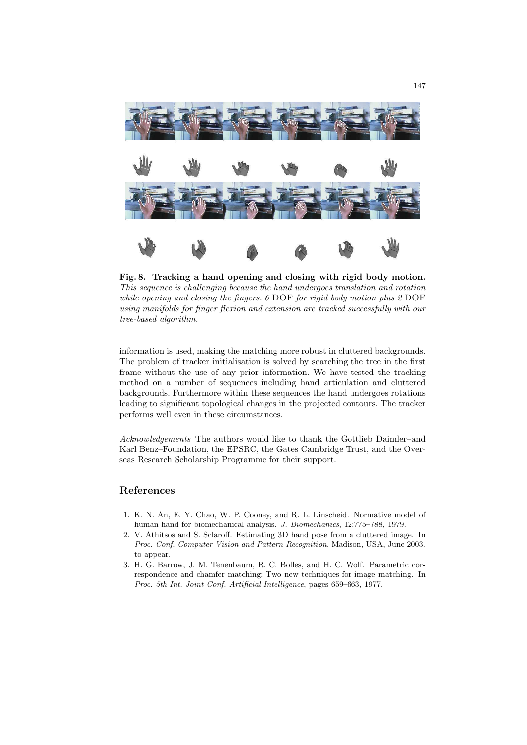

Fig. 8. Tracking a hand opening and closing with rigid body motion. This sequence is challenging because the hand undergoes translation and rotation while opening and closing the fingers. 6 DOF for rigid body motion plus 2 DOF using manifolds for finger flexion and extension are tracked successfully with our tree-based algorithm.

information is used, making the matching more robust in cluttered backgrounds. The problem of tracker initialisation is solved by searching the tree in the first frame without the use of any prior information. We have tested the tracking method on a number of sequences including hand articulation and cluttered backgrounds. Furthermore within these sequences the hand undergoes rotations leading to significant topological changes in the projected contours. The tracker performs well even in these circumstances.

Acknowledgements The authors would like to thank the Gottlieb Daimler–and Karl Benz–Foundation, the EPSRC, the Gates Cambridge Trust, and the Overseas Research Scholarship Programme for their support.

### References

- 1. K. N. An, E. Y. Chao, W. P. Cooney, and R. L. Linscheid. Normative model of human hand for biomechanical analysis. J. Biomechanics, 12:775–788, 1979.
- 2. V. Athitsos and S. Sclaroff. Estimating 3D hand pose from a cluttered image. In Proc. Conf. Computer Vision and Pattern Recognition, Madison, USA, June 2003. to appear.
- 3. H. G. Barrow, J. M. Tenenbaum, R. C. Bolles, and H. C. Wolf. Parametric correspondence and chamfer matching: Two new techniques for image matching. In Proc. 5th Int. Joint Conf. Artificial Intelligence, pages 659–663, 1977.